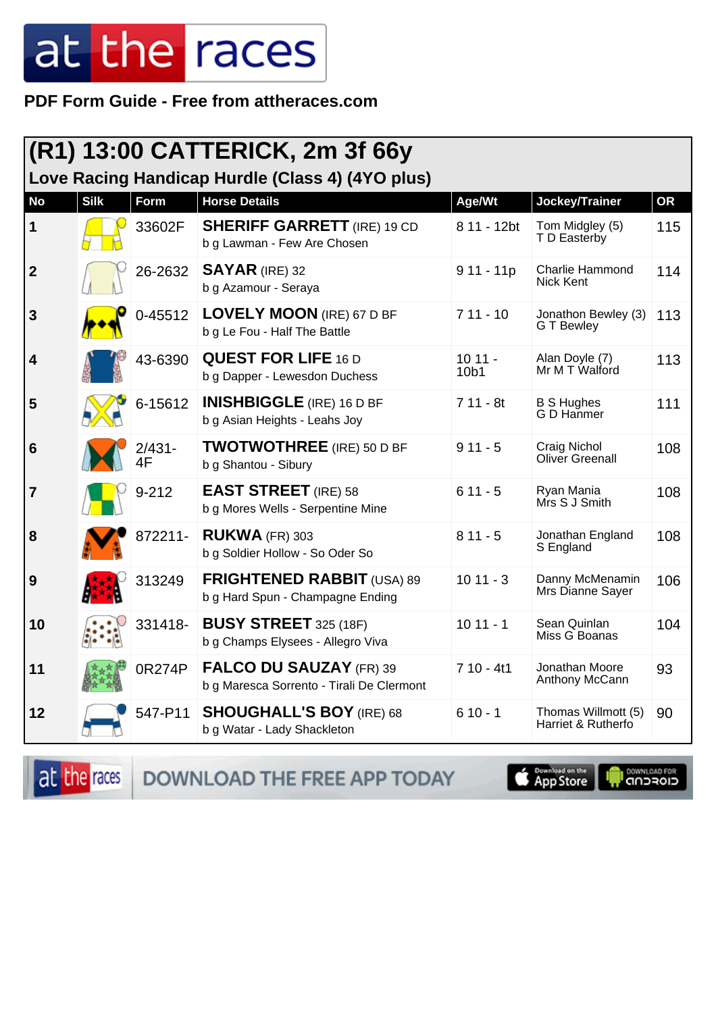## at the races

PDF Form Guide - Free from attheraces.com

| $(R1)$ 13:00 CATTERICK, 2m 3f 66y<br>Love Racing Handicap Hurdle (Class 4) (4YO plus) |             |                 |                                                                             |                  |                                           |           |  |
|---------------------------------------------------------------------------------------|-------------|-----------------|-----------------------------------------------------------------------------|------------------|-------------------------------------------|-----------|--|
| <b>No</b>                                                                             | <b>Silk</b> | Form            | <b>Horse Details</b>                                                        | Age/Wt           | Jockey/Trainer                            | <b>OR</b> |  |
| $\mathbf 1$                                                                           |             | 33602F          | <b>SHERIFF GARRETT</b> (IRE) 19 CD<br>b g Lawman - Few Are Chosen           | 8 11 - 12bt      | Tom Midgley (5)<br>T D Easterby           | 115       |  |
| $\boldsymbol{2}$                                                                      |             | 26-2632         | $SAYAR$ (IRE) 32<br>b g Azamour - Seraya                                    | $911 - 11p$      | Charlie Hammond<br>Nick Kent              | 114       |  |
| 3                                                                                     |             | 0-45512         | <b>LOVELY MOON</b> (IRE) 67 D BF<br>b g Le Fou - Half The Battle            | $711 - 10$       | Jonathon Bewley (3)<br>G T Bewley         | 113       |  |
| $\overline{\mathbf{4}}$                                                               |             | 43-6390         | <b>QUEST FOR LIFE 16 D</b><br>b g Dapper - Lewesdon Duchess                 | $1011 -$<br>10b1 | Alan Doyle (7)<br>Mr M T Walford          | 113       |  |
| 5                                                                                     |             | 6-15612         | <b>INISHBIGGLE</b> (IRE) 16 D BF<br>b g Asian Heights - Leahs Joy           | $711 - 8t$       | <b>B S Hughes</b><br>G D Hanmer           | 111       |  |
| 6                                                                                     |             | $2/431 -$<br>4F | <b>TWOTWOTHREE</b> (IRE) 50 D BF<br>b g Shantou - Sibury                    | $911 - 5$        | Craig Nichol<br>Oliver Greenall           | 108       |  |
| 7                                                                                     |             | $9 - 212$       | <b>EAST STREET</b> (IRE) 58<br>b g Mores Wells - Serpentine Mine            | $611 - 5$        | Ryan Mania<br>Mrs S J Smith               | 108       |  |
| 8                                                                                     |             | 872211-         | <b>RUKWA (FR) 303</b><br>b g Soldier Hollow - So Oder So                    | $811 - 5$        | Jonathan England<br>S England             | 108       |  |
| 9                                                                                     |             | 313249          | <b>FRIGHTENED RABBIT (USA) 89</b><br>b g Hard Spun - Champagne Ending       | $1011 - 3$       | Danny McMenamin<br>Mrs Dianne Sayer       | 106       |  |
| 10                                                                                    |             | 331418-         | <b>BUSY STREET</b> 325 (18F)<br>b g Champs Elysees - Allegro Viva           | $1011 - 1$       | Sean Quinlan<br>Miss G Boanas             | 104       |  |
| 11                                                                                    |             | 0R274P          | <b>FALCO DU SAUZAY (FR) 39</b><br>b g Maresca Sorrento - Tirali De Clermont | $710 - 4t1$      | Jonathan Moore<br>Anthony McCann          | 93        |  |
| 12                                                                                    |             | 547-P11         | <b>SHOUGHALL'S BOY (IRE) 68</b><br>b g Watar - Lady Shackleton              | $610 - 1$        | Thomas Willmott (5)<br>Harriet & Rutherfo | 90        |  |

DOWNLOAD THE FREE APP TODAY at the races

App Store

**IN DOWNLOAD FOR**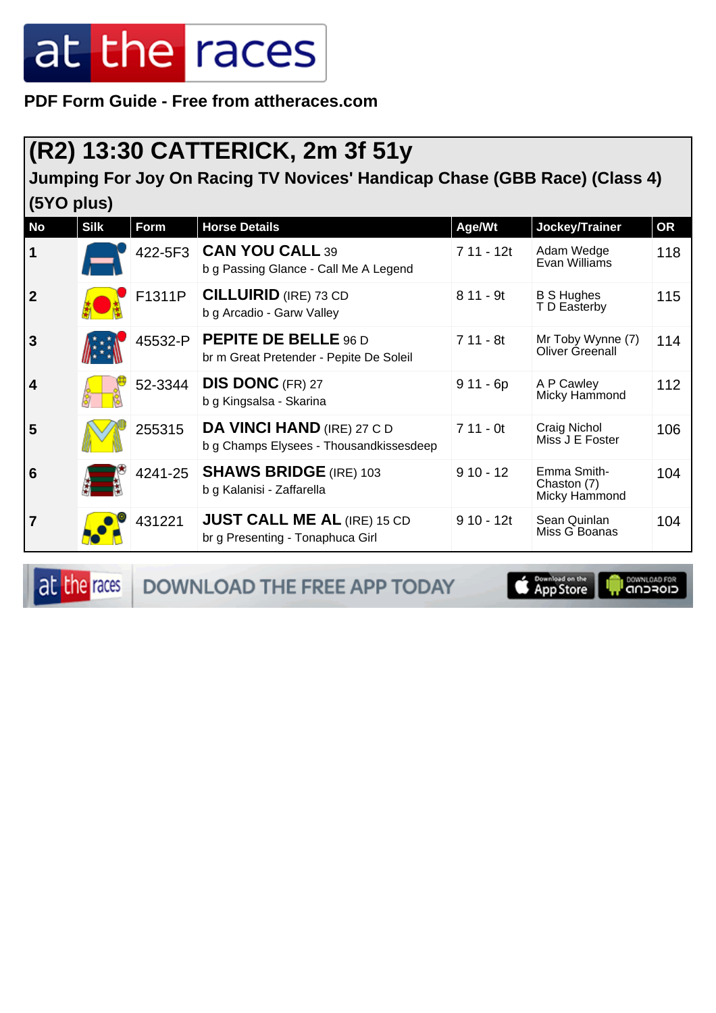## at the races

**PDF Form Guide - Free from attheraces.com**

## **(R2) 13:30 CATTERICK, 2m 3f 51y**

**Jumping For Joy On Racing TV Novices' Handicap Chase (GBB Race) (Class 4) (5YO plus)**

| <b>No</b>               | <b>Silk</b> | Form    | <b>Horse Details</b>                                                         | Age/Wt      | Jockey/Trainer                              | <b>OR</b> |
|-------------------------|-------------|---------|------------------------------------------------------------------------------|-------------|---------------------------------------------|-----------|
| $\mathbf 1$             |             | 422-5F3 | <b>CAN YOU CALL 39</b><br>b g Passing Glance - Call Me A Legend              | 7 11 - 12t  | Adam Wedge<br>Evan Williams                 | 118       |
| $\overline{2}$          |             | F1311P  | <b>CILLUIRID</b> (IRE) 73 CD<br>b g Arcadio - Garw Valley                    | $811 - 9t$  | <b>B S Hughes</b><br>T D Easterby           | 115       |
| $\overline{3}$          |             | 45532-P | <b>PEPITE DE BELLE 96 D</b><br>br m Great Pretender - Pepite De Soleil       | $711 - 8t$  | Mr Toby Wynne (7)<br>Oliver Greenall        | 114       |
| $\overline{\mathbf{4}}$ |             | 52-3344 | <b>DIS DONC</b> (FR) 27<br>b g Kingsalsa - Skarina                           | $911 - 6p$  | A P Cawley<br>Micky Hammond                 | 112       |
| 5                       |             | 255315  | <b>DA VINCI HAND (IRE) 27 C D</b><br>b g Champs Elysees - Thousandkissesdeep | $711 - 0t$  | Craig Nichol<br>Miss J E Foster             | 106       |
| 6                       |             | 4241-25 | <b>SHAWS BRIDGE (IRE) 103</b><br>b g Kalanisi - Zaffarella                   | $910 - 12$  | Emma Smith-<br>Chaston (7)<br>Micky Hammond | 104       |
| $\overline{7}$          |             | 431221  | <b>JUST CALL ME AL (IRE) 15 CD</b><br>br g Presenting - Tonaphuca Girl       | $910 - 12t$ | Sean Quinlan<br>Miss G Boanas               | 104       |

at the races

DOWNLOAD THE FREE APP TODAY

**Example of the App Store** 

**I DOWNLOAD FOR**